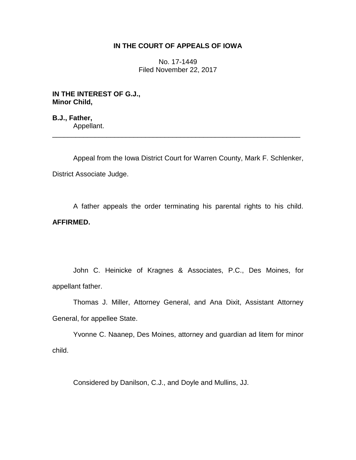## **IN THE COURT OF APPEALS OF IOWA**

No. 17-1449 Filed November 22, 2017

**IN THE INTEREST OF G.J., Minor Child,**

**B.J., Father,** Appellant. \_\_\_\_\_\_\_\_\_\_\_\_\_\_\_\_\_\_\_\_\_\_\_\_\_\_\_\_\_\_\_\_\_\_\_\_\_\_\_\_\_\_\_\_\_\_\_\_\_\_\_\_\_\_\_\_\_\_\_\_\_\_\_\_

Appeal from the Iowa District Court for Warren County, Mark F. Schlenker, District Associate Judge.

A father appeals the order terminating his parental rights to his child. **AFFIRMED.**

John C. Heinicke of Kragnes & Associates, P.C., Des Moines, for appellant father.

Thomas J. Miller, Attorney General, and Ana Dixit, Assistant Attorney General, for appellee State.

Yvonne C. Naanep, Des Moines, attorney and guardian ad litem for minor child.

Considered by Danilson, C.J., and Doyle and Mullins, JJ.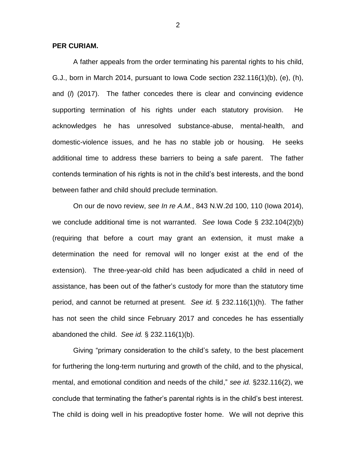## **PER CURIAM.**

A father appeals from the order terminating his parental rights to his child, G.J., born in March 2014, pursuant to Iowa Code section 232.116(1)(b), (e), (h), and (*l*) (2017). The father concedes there is clear and convincing evidence supporting termination of his rights under each statutory provision. He acknowledges he has unresolved substance-abuse, mental-health, and domestic-violence issues, and he has no stable job or housing. He seeks additional time to address these barriers to being a safe parent. The father contends termination of his rights is not in the child's best interests, and the bond between father and child should preclude termination.

On our de novo review, *see In re A.M.*, 843 N.W.2d 100, 110 (Iowa 2014), we conclude additional time is not warranted. *See* Iowa Code § 232.104(2)(b) (requiring that before a court may grant an extension, it must make a determination the need for removal will no longer exist at the end of the extension). The three-year-old child has been adjudicated a child in need of assistance, has been out of the father's custody for more than the statutory time period, and cannot be returned at present. *See id.* § 232.116(1)(h). The father has not seen the child since February 2017 and concedes he has essentially abandoned the child. *See id.* § 232.116(1)(b).

Giving "primary consideration to the child's safety, to the best placement for furthering the long-term nurturing and growth of the child, and to the physical, mental, and emotional condition and needs of the child," *see id.* §232.116(2), we conclude that terminating the father's parental rights is in the child's best interest. The child is doing well in his preadoptive foster home. We will not deprive this

2